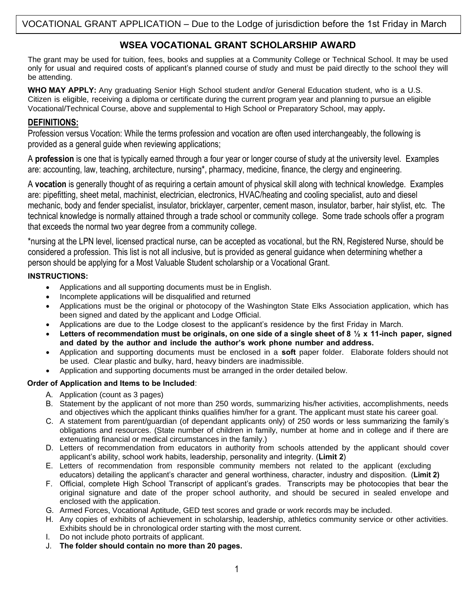# **WSEA VOCATIONAL GRANT SCHOLARSHIP AWARD**

The grant may be used for tuition, fees, books and supplies at a Community College or Technical School. It may be used only for usual and required costs of applicant's planned course of study and must be paid directly to the school they will be attending.

WHO MAY APPLY: Any graduating Senior High School student and/or General Education student, who is a U.S. Citizen is eligible, receiving a diploma or certificate during the current program year and planning to pursue an eligible Vocational/Technical Course, above and supplemental to High School or Preparatory School, may apply**.** 

## **DEFINITIONS:**

Profession versus Vocation: While the terms profession and vocation are often used interchangeably, the following is provided as a general guide when reviewing applications;

A **profession** is one that is typically earned through a four year or longer course of study at the university level. Examples are: accounting, law, teaching, architecture, nursing\*, pharmacy, medicine, finance, the clergy and engineering.

A **vocation** is generally thought of as requiring a certain amount of physical skill along with technical knowledge. Examples are: pipefitting, sheet metal, machinist, electrician, electronics, HVAC/heating and cooling specialist, auto and diesel mechanic, body and fender specialist, insulator, bricklayer, carpenter, cement mason, insulator, barber, hair stylist, etc. The technical knowledge is normally attained through a trade school or community college. Some trade schools offer a program that exceeds the normal two year degree from a community college.

\*nursing at the LPN level, licensed practical nurse, can be accepted as vocational, but the RN, Registered Nurse, should be considered a profession. This list is not all inclusive, but is provided as general guidance when determining whether a person should be applying for a Most Valuable Student scholarship or a Vocational Grant.

## **INSTRUCTIONS:**

- Applications and all supporting documents must be in English.
- Incomplete applications will be disqualified and returned
- Applications must be the original or photocopy of the Washington State Elks Association application, which has been signed and dated by the applicant and Lodge Official.
- Applications are due to the Lodge closest to the applicant's residence by the first Friday in March.
- **Letters of recommendation must be originals, on one side of a single sheet of 8 ½ x 11-inch paper, signed and dated by the author and include the author's work phone number and address.**
- Application and supporting documents must be enclosed in a **soft** paper folder. Elaborate folders should not be used. Clear plastic and bulky, hard, heavy binders are inadmissible.
- Application and supporting documents must be arranged in the order detailed below.

## **Order of Application and Items to be Included**:

- A. Application (count as 3 pages)
- B. Statement by the applicant of not more than 250 words, summarizing his/her activities, accomplishments, needs and objectives which the applicant thinks qualifies him/her for a grant. The applicant must state his career goal.
- C. A statement from parent/guardian (of dependant applicants only) of 250 words or less summarizing the family's obligations and resources. (State number of children in family, number at home and in college and if there are extenuating financial or medical circumstances in the family.)
- D. Letters of recommendation from educators in authority from schools attended by the applicant should cover applicant's ability, school work habits, leadership, personality and integrity. (**Limit 2**)
- E. Letters of recommendation from responsible community members not related to the applicant (excluding educators) detailing the applicant's character and general worthiness, character, industry and disposition. (**Limit 2)**
- F. Official, complete High School Transcript of applicant's grades. Transcripts may be photocopies that bear the original signature and date of the proper school authority, and should be secured in sealed envelope and enclosed with the application.
- G. Armed Forces, Vocational Aptitude, GED test scores and grade or work records may be included.
- H. Any copies of exhibits of achievement in scholarship, leadership, athletics community service or other activities. Exhibits should be in chronological order starting with the most current.
- I. Do not include photo portraits of applicant.
- J. **The folder should contain no more than 20 pages.**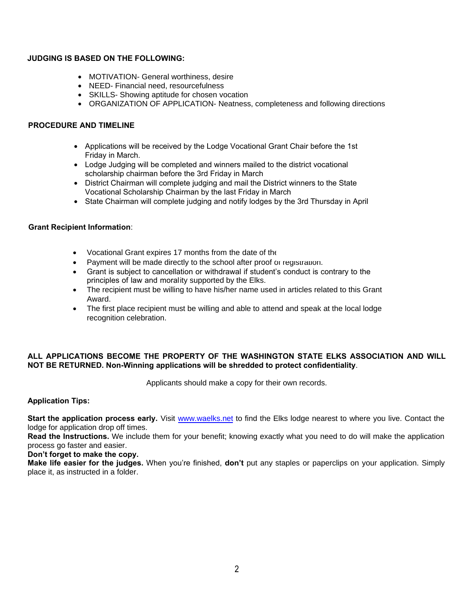#### **JUDGING IS BASED ON THE FOLLOWING:**

- MOTIVATION- General worthiness, desire
- NEED- Financial need, resourcefulness
- SKILLS- Showing aptitude for chosen vocation
- ORGANIZATION OF APPLICATION- Neatness, completeness and following directions

#### **PROCEDURE AND TIMELINE**

- Applications will be received by the Lodge Vocational Grant Chair before the 1st Friday in March.
- Lodge Judging will be completed and winners mailed to the district vocational scholarship chairman before the 3rd Friday in March
- District Chairman will complete judging and mail the District winners to the State Vocational Scholarship Chairman by the last Friday in March
- State Chairman will complete judging and notify lodges by the 3rd Thursday in April

#### **Grant Recipient Information**:

- Vocational Grant expires 17 months from the date of the
- Payment will be made directly to the school after proof or registration.
- Grant is subject to cancellation or withdrawal if student's conduct is contrary to the principles of law and morality supported by the Elks.
- The recipient must be willing to have his/her name used in articles related to this Grant Award.
- The first place recipient must be willing and able to attend and speak at the local lodge recognition celebration.

## **ALL APPLICATIONS BECOME THE PROPERTY OF THE WASHINGTON STATE ELKS ASSOCIATION AND WILL NOT BE RETURNED. Non-Winning applications will be shredded to protect confidentiality**.

Applicants should make a copy for their own records.

**Application Tips:**

**Start the application process early.** Visit [www.waelks.net](http://www.waelks.net/) to find the Elks lodge nearest to where you live. Contact the lodge for application drop off times.

**Read the Instructions.** We include them for your benefit; knowing exactly what you need to do will make the application process go faster and easier.

**Don't forget to make the copy.**

**Make life easier for the judges.** When you're finished, **don't** put any staples or paperclips on your application. Simply place it, as instructed in a folder.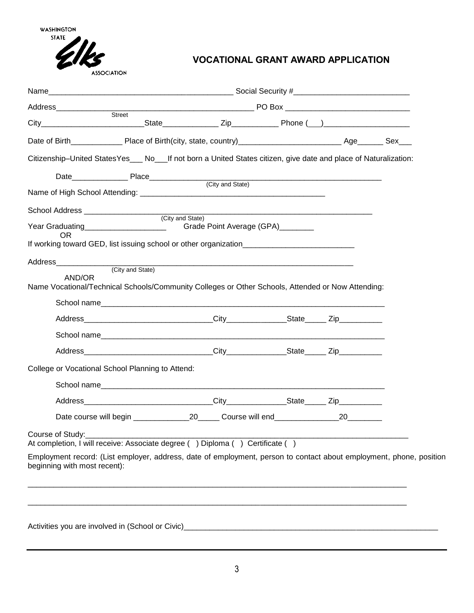**WASHINGTON STATE** 



# **VOCATIONAL GRANT AWARD APPLICATION**

| Address_____________                                                                                                                                | <b>PO Box</b>                     |    |  |
|-----------------------------------------------------------------------------------------------------------------------------------------------------|-----------------------------------|----|--|
| Street                                                                                                                                              |                                   |    |  |
|                                                                                                                                                     |                                   |    |  |
| Citizenship-United StatesYes___ No___If not born a United States citizen, give date and place of Naturalization:                                    |                                   |    |  |
|                                                                                                                                                     |                                   |    |  |
|                                                                                                                                                     |                                   |    |  |
|                                                                                                                                                     |                                   |    |  |
| Year Graduating______________________<br>OR.                                                                                                        | Grade Point Average (GPA)________ |    |  |
|                                                                                                                                                     |                                   |    |  |
| Address________________                                                                                                                             |                                   |    |  |
| (City and State)<br>AND/OR<br>Name Vocational/Technical Schools/Community Colleges or Other Schools, Attended or Now Attending:                     |                                   |    |  |
|                                                                                                                                                     |                                   |    |  |
|                                                                                                                                                     |                                   |    |  |
|                                                                                                                                                     |                                   |    |  |
|                                                                                                                                                     |                                   |    |  |
| College or Vocational School Planning to Attend:                                                                                                    |                                   |    |  |
| School name                                                                                                                                         |                                   |    |  |
|                                                                                                                                                     |                                   |    |  |
|                                                                                                                                                     |                                   | 20 |  |
| Course of Study:<br>At completion, I will receive: Associate degree () Diploma () Certificate ()                                                    |                                   |    |  |
| Employment record: (List employer, address, date of employment, person to contact about employment, phone, position<br>beginning with most recent): |                                   |    |  |
|                                                                                                                                                     |                                   |    |  |
|                                                                                                                                                     |                                   |    |  |
|                                                                                                                                                     |                                   |    |  |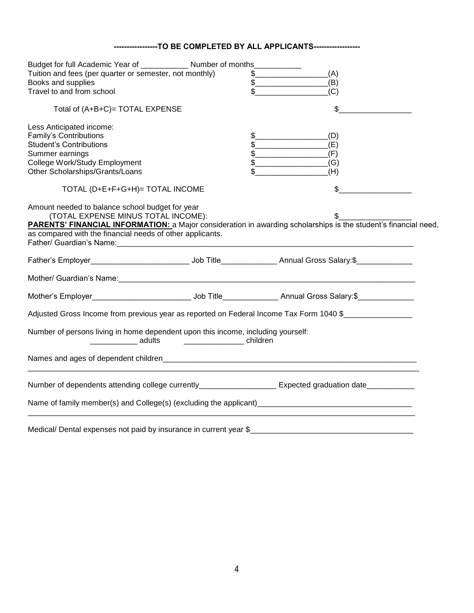## **-----------------TO BE COMPLETED BY ALL APPLICANTS------------------**

| Budget for full Academic Year of _____________ Number of months____________                                                                                                                                                    |                                                                                                                                                                                                                                                                                                                                                                     |     |  |
|--------------------------------------------------------------------------------------------------------------------------------------------------------------------------------------------------------------------------------|---------------------------------------------------------------------------------------------------------------------------------------------------------------------------------------------------------------------------------------------------------------------------------------------------------------------------------------------------------------------|-----|--|
| Tuition and fees (per quarter or semester, not monthly)                                                                                                                                                                        | $\frac{1}{2}$                                                                                                                                                                                                                                                                                                                                                       | (A) |  |
| Books and supplies                                                                                                                                                                                                             | $\begin{picture}(20,10) \put(0,0){\vector(1,0){100}} \put(15,0){\vector(1,0){100}} \put(15,0){\vector(1,0){100}} \put(15,0){\vector(1,0){100}} \put(15,0){\vector(1,0){100}} \put(15,0){\vector(1,0){100}} \put(15,0){\vector(1,0){100}} \put(15,0){\vector(1,0){100}} \put(15,0){\vector(1,0){100}} \put(15,0){\vector(1,0){100}} \put(15,0){\vector(1,0){100}} \$ | (B) |  |
| Travel to and from school                                                                                                                                                                                                      |                                                                                                                                                                                                                                                                                                                                                                     | (C) |  |
| Total of (A+B+C)= TOTAL EXPENSE                                                                                                                                                                                                |                                                                                                                                                                                                                                                                                                                                                                     | \$  |  |
| Less Anticipated income:                                                                                                                                                                                                       |                                                                                                                                                                                                                                                                                                                                                                     |     |  |
| Family's Contributions                                                                                                                                                                                                         |                                                                                                                                                                                                                                                                                                                                                                     | (D) |  |
| <b>Student's Contributions</b>                                                                                                                                                                                                 | $\frac{1}{2}$                                                                                                                                                                                                                                                                                                                                                       | (E) |  |
| Summer earnings                                                                                                                                                                                                                | $\begin{picture}(20,10) \put(0,0){\line(1,0){10}} \put(15,0){\line(1,0){10}} \put(15,0){\line(1,0){10}} \put(15,0){\line(1,0){10}} \put(15,0){\line(1,0){10}} \put(15,0){\line(1,0){10}} \put(15,0){\line(1,0){10}} \put(15,0){\line(1,0){10}} \put(15,0){\line(1,0){10}} \put(15,0){\line(1,0){10}} \put(15,0){\line(1,0){10}} \put(15,0){\line(1$                 | (F) |  |
| College Work/Study Employment                                                                                                                                                                                                  | $\frac{1}{2}$                                                                                                                                                                                                                                                                                                                                                       | (G) |  |
| Other Scholarships/Grants/Loans                                                                                                                                                                                                |                                                                                                                                                                                                                                                                                                                                                                     | (H) |  |
| TOTAL (D+E+F+G+H)= TOTAL INCOME                                                                                                                                                                                                |                                                                                                                                                                                                                                                                                                                                                                     | \$  |  |
| Amount needed to balance school budget for year                                                                                                                                                                                |                                                                                                                                                                                                                                                                                                                                                                     |     |  |
| (TOTAL EXPENSE MINUS TOTAL INCOME):                                                                                                                                                                                            |                                                                                                                                                                                                                                                                                                                                                                     |     |  |
| <b>PARENTS' FINANCIAL INFORMATION:</b> a Major consideration in awarding scholarships is the student's financial need,                                                                                                         |                                                                                                                                                                                                                                                                                                                                                                     |     |  |
| as compared with the financial needs of other applicants.                                                                                                                                                                      |                                                                                                                                                                                                                                                                                                                                                                     |     |  |
| Father/ Guardian's Name: The Contract of the Contract of the Contract of the Contract of the Contract of the Contract of the Contract of the Contract of the Contract of the Contract of the Contract of the Contract of the C |                                                                                                                                                                                                                                                                                                                                                                     |     |  |
|                                                                                                                                                                                                                                |                                                                                                                                                                                                                                                                                                                                                                     |     |  |
|                                                                                                                                                                                                                                |                                                                                                                                                                                                                                                                                                                                                                     |     |  |
|                                                                                                                                                                                                                                |                                                                                                                                                                                                                                                                                                                                                                     |     |  |
| Adjusted Gross Income from previous year as reported on Federal Income Tax Form 1040 \$                                                                                                                                        |                                                                                                                                                                                                                                                                                                                                                                     |     |  |
|                                                                                                                                                                                                                                |                                                                                                                                                                                                                                                                                                                                                                     |     |  |
| Number of persons living in home dependent upon this income, including yourself:                                                                                                                                               |                                                                                                                                                                                                                                                                                                                                                                     |     |  |
| _________________ adults                                                                                                                                                                                                       |                                                                                                                                                                                                                                                                                                                                                                     |     |  |
|                                                                                                                                                                                                                                |                                                                                                                                                                                                                                                                                                                                                                     |     |  |
| Number of dependents attending college currently____________________ Expected graduation date____________                                                                                                                      |                                                                                                                                                                                                                                                                                                                                                                     |     |  |
|                                                                                                                                                                                                                                |                                                                                                                                                                                                                                                                                                                                                                     |     |  |
|                                                                                                                                                                                                                                |                                                                                                                                                                                                                                                                                                                                                                     |     |  |
|                                                                                                                                                                                                                                |                                                                                                                                                                                                                                                                                                                                                                     |     |  |
|                                                                                                                                                                                                                                |                                                                                                                                                                                                                                                                                                                                                                     |     |  |